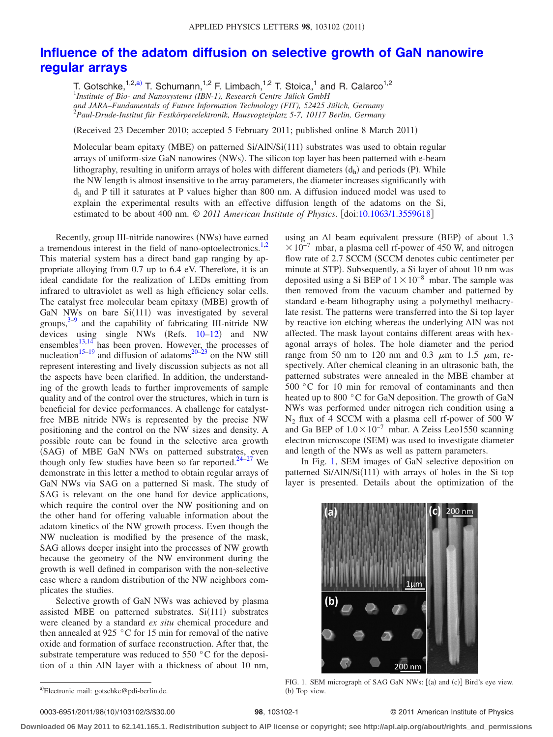## **[Influence of the adatom diffusion on selective growth of GaN nanowire](http://dx.doi.org/10.1063/1.3559618) [regular arrays](http://dx.doi.org/10.1063/1.3559618)**

T. Gotschke,<sup>1,2[,a](#page-0-0))</sup> T. Schumann,<sup>1,2</sup> F. Limbach,<sup>1,2</sup> T. Stoica,<sup>1</sup> and R. Calarco<sup>1,2</sup> 1 *Institute of Bio- and Nanosystems (IBN-1), Research Centre Jülich GmbH and JARA–Fundamentals of Future Information Technology (FIT), 52425 Jülich, Germany* 2 *Paul-Drude-Institut für Festkörperelektronik, Hausvogteiplatz 5-7, 10117 Berlin, Germany*

(Received 23 December 2010; accepted 5 February 2011; published online 8 March 2011)

Molecular beam epitaxy (MBE) on patterned Si/AlN/Si(111) substrates was used to obtain regular arrays of uniform-size GaN nanowires (NWs). The silicon top layer has been patterned with e-beam lithography, resulting in uniform arrays of holes with different diameters  $(d_h)$  and periods (P). While the NW length is almost insensitive to the array parameters, the diameter increases significantly with  $d<sub>h</sub>$  and P till it saturates at P values higher than 800 nm. A diffusion induced model was used to explain the experimental results with an effective diffusion length of the adatoms on the Si, estimated to be about 400 nm.  $\odot$  2011 American Institute of Physics. [doi[:10.1063/1.3559618](http://dx.doi.org/10.1063/1.3559618)]

Recently, group III-nitride nanowires (NWs) have earned a tremendous interest in the field of nano-optoelectronics. $1,2$  $1,2$ This material system has a direct band gap ranging by appropriate alloying from 0.7 up to 6.4 eV. Therefore, it is an ideal candidate for the realization of LEDs emitting from infrared to ultraviolet as well as high efficiency solar cells. The catalyst free molecular beam epitaxy (MBE) growth of GaN NWs on bare  $Si(111)$  was investigated by several groups,<sup>3-[9](#page-2-3)</sup> and the capability of fabricating III-nitride NW devices using single NWs (Refs.  $10-12$  $10-12$ ) and NW ensembles $^{13,14}$  $^{13,14}$  $^{13,14}$  has been proven. However, the processes of nucleation<sup>15[–19](#page-2-9)</sup> and diffusion of adatoms<sup>20–[23](#page-2-11)</sup> on the NW still represent interesting and lively discussion subjects as not all the aspects have been clarified. In addition, the understanding of the growth leads to further improvements of sample quality and of the control over the structures, which in turn is beneficial for device performances. A challenge for catalystfree MBE nitride NWs is represented by the precise NW positioning and the control on the NW sizes and density. A possible route can be found in the selective area growth (SAG) of MBE GaN NWs on patterned substrates, even though only few studies have been so far reported.<sup>24[–27](#page-2-13)</sup> We demonstrate in this letter a method to obtain regular arrays of GaN NWs via SAG on a patterned Si mask. The study of SAG is relevant on the one hand for device applications, which require the control over the NW positioning and on the other hand for offering valuable information about the adatom kinetics of the NW growth process. Even though the NW nucleation is modified by the presence of the mask, SAG allows deeper insight into the processes of NW growth because the geometry of the NW environment during the growth is well defined in comparison with the non-selective case where a random distribution of the NW neighbors complicates the studies.

Selective growth of GaN NWs was achieved by plasma assisted MBE on patterned substrates.  $Si(111)$  substrates were cleaned by a standard *ex situ* chemical procedure and then annealed at 925 °C for 15 min for removal of the native oxide and formation of surface reconstruction. After that, the substrate temperature was reduced to 550 °C for the deposition of a thin AlN layer with a thickness of about 10 nm,

<span id="page-0-0"></span>a)Electronic mail: gotschke@pdi-berlin.de.

using an Al beam equivalent pressure (BEP) of about 1.3  $\times 10^{-7}$  mbar, a plasma cell rf-power of 450 W, and nitrogen flow rate of 2.7 SCCM (SCCM denotes cubic centimeter per minute at STP). Subsequently, a Si layer of about 10 nm was deposited using a Si BEP of  $1 \times 10^{-8}$  mbar. The sample was then removed from the vacuum chamber and patterned by standard e-beam lithography using a polymethyl methacrylate resist. The patterns were transferred into the Si top layer by reactive ion etching whereas the underlying AlN was not affected. The mask layout contains different areas with hexagonal arrays of holes. The hole diameter and the period range from 50 nm to 120 nm and 0.3  $\mu$ m to 1.5  $\mu$ m, respectively. After chemical cleaning in an ultrasonic bath, the patterned substrates were annealed in the MBE chamber at 500 °C for 10 min for removal of contaminants and then heated up to 800 °C for GaN deposition. The growth of GaN NWs was performed under nitrogen rich condition using a  $N_2$  flux of 4 SCCM with a plasma cell rf-power of 500 W and Ga BEP of  $1.0 \times 10^{-7}$  mbar. A Zeiss Leo1550 scanning electron microscope (SEM) was used to investigate diameter and length of the NWs as well as pattern parameters.

<span id="page-0-1"></span>In Fig. [1,](#page-0-1) SEM images of GaN selective deposition on patterned Si/AlN/Si(111) with arrays of holes in the Si top layer is presented. Details about the optimization of the



FIG. 1. SEM micrograph of SAG GaN NWs: [(a) and (c)] Bird's eye view. (b) Top view.

## /103102/3/\$30.00 © 2011 American Institute of Physics **98**, 103102-1

**Downloaded 06 May 2011 to 62.141.165.1. Redistribution subject to AIP license or copyright; see http://apl.aip.org/about/rights\_and\_permissions**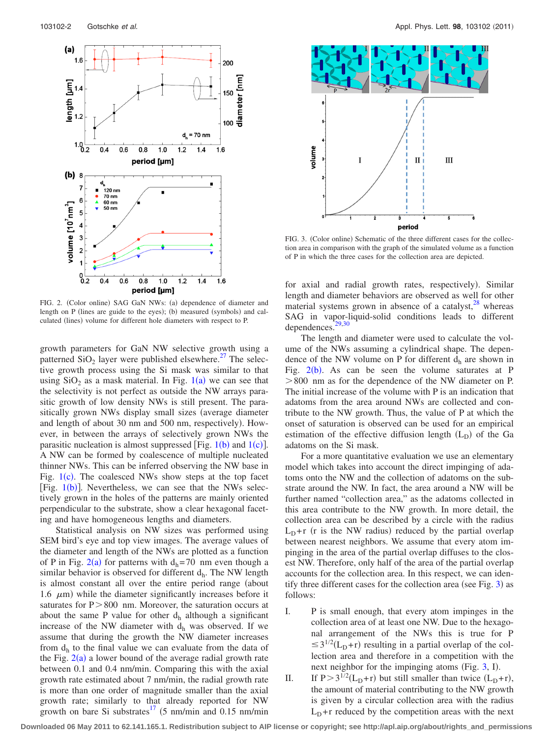<span id="page-1-0"></span>

FIG. 2. (Color online) SAG GaN NWs: (a) dependence of diameter and length on P (lines are guide to the eyes); (b) measured (symbols) and calculated (lines) volume for different hole diameters with respect to P.

growth parameters for GaN NW selective growth using a patterned  $SiO<sub>2</sub>$  layer were published elsewhere.<sup>27</sup> The selective growth process using the Si mask was similar to that using  $SiO<sub>2</sub>$  as a mask material. In Fig.  $1(a)$  $1(a)$  we can see that the selectivity is not perfect as outside the NW arrays parasitic growth of low density NWs is still present. The parasitically grown NWs display small sizes (average diameter and length of about 30 nm and 500 nm, respectively. However, in between the arrays of selectively grown NWs the parasitic nucleation is almost suppressed [Fig.  $1(b)$  $1(b)$  and  $1(c)$ ]. A NW can be formed by coalescence of multiple nucleated thinner NWs. This can be inferred observing the NW base in Fig.  $1(c)$  $1(c)$ . The coalesced NWs show steps at the top facet [Fig.  $1(b)$  $1(b)$ ]. Nevertheless, we can see that the NWs selectively grown in the holes of the patterns are mainly oriented perpendicular to the substrate, show a clear hexagonal faceting and have homogeneous lengths and diameters.

Statistical analysis on NW sizes was performed using SEM bird's eye and top view images. The average values of the diameter and length of the NWs are plotted as a function of P in Fig. [2](#page-1-0)(a) for patterns with  $d_h$ =70 nm even though a similar behavior is observed for different  $d_h$ . The NW length is almost constant all over the entire period range (about 1.6  $\mu$ m) while the diameter significantly increases before it saturates for  $P > 800$  nm. Moreover, the saturation occurs at about the same P value for other  $d<sub>h</sub>$  although a significant increase of the NW diameter with  $d_h$  was observed. If we assume that during the growth the NW diameter increases from  $d<sub>h</sub>$  to the final value we can evaluate from the data of the Fig.  $2(a)$  $2(a)$  a lower bound of the average radial growth rate between 0.1 and 0.4 nm/min. Comparing this with the axial growth rate estimated about 7 nm/min, the radial growth rate is more than one order of magnitude smaller than the axial growth rate; similarly to that already reported for NW growth on bare Si substrates<sup>17</sup> (5 nm/min and 0.15 nm/min

<span id="page-1-1"></span>

FIG. 3. (Color online) Schematic of the three different cases for the collection area in comparison with the graph of the simulated volume as a function of P in which the three cases for the collection area are depicted.

for axial and radial growth rates, respectively. Similar length and diameter behaviors are observed as well for other material systems grown in absence of a catalyst, $28$  whereas SAG in vapor-liquid-solid conditions leads to different dependences.<sup>29,[30](#page-2-17)</sup>

The length and diameter were used to calculate the volume of the NWs assuming a cylindrical shape. The dependenc[e of t](#page-1-0)he NW volume on P for different  $d_h$  are shown in Fig.  $2(b)$ . As can be seen the volume saturates at P  $>800$  nm as for the dependence of the NW diameter on P. The initial increase of the volume with P is an indication that adatoms from the area around NWs are collected and contribute to the NW growth. Thus, the value of P at which the onset of saturation is observed can be used for an empirical estimation of the effective diffusion length  $(L_D)$  of the Ga adatoms on the Si mask.

For a more quantitative evaluation we use an elementary model which takes into account the direct impinging of adatoms onto the NW and the collection of adatoms on the substrate around the NW. In fact, the area around a NW will be further named "collection area," as the adatoms collected in this area contribute to the NW growth. In more detail, the collection area can be described by a circle with the radius  $L<sub>D</sub>+r$  (r is the NW radius) reduced by the partial overlap between nearest neighbors. We assume that every atom impinging in the area of the partial overlap diffuses to the closest NW. Therefore, only half of the area of the partial overlap accounts for the collection area. In this respect, we can identify three different cases for the collection area (see Fig.  $3$ ) as follows:

- I. P is small enough, that every atom impinges in the collection area of at least one NW. Due to the hexagonal arrangement of the NWs this is true for P  $\leq 3^{1/2}(L_D+r)$  resulting in a partial overlap of the collection area and therefore in a competition with the next neighbor for the impinging atoms (Fig.  $3$ , I).
- II. If  $P > 3^{1/2}(L_D + r)$  but still smaller than twice  $(L_D + r)$ , the amount of material contributing to the NW growth is given by a circular collection area with the radius  $L<sub>D</sub> + r$  reduced by the competition areas with the next

**Downloaded 06 May 2011 to 62.141.165.1. Redistribution subject to AIP license or copyright; see http://apl.aip.org/about/rights\_and\_permissions**